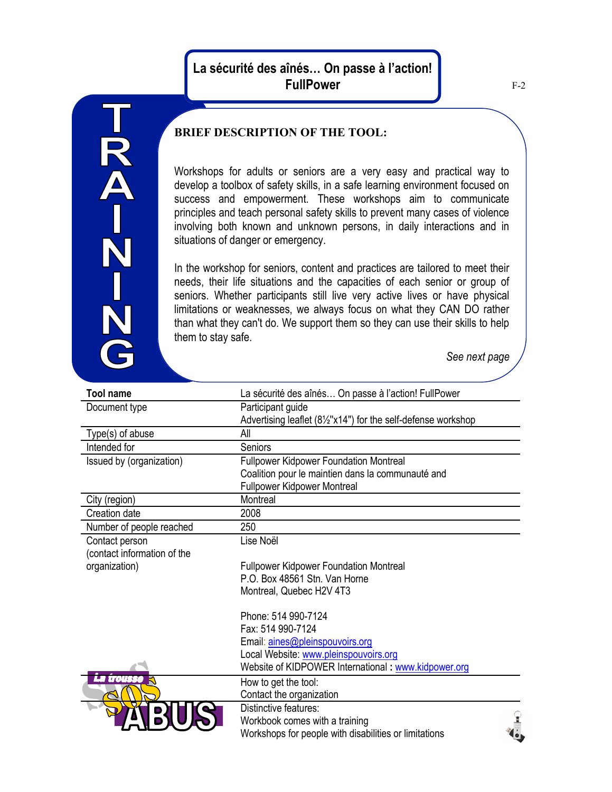## **La sécurité des aînés… On passe à l'action! FullPower**

## **BRIEF DESCRIPTION OF THE TOOL:**

Workshops for adults or seniors are a very easy and practical way to develop a toolbox of safety skills, in a safe learning environment focused on success and empowerment. These workshops aim to communicate principles and teach personal safety skills to prevent many cases of violence involving both known and unknown persons, in daily interactions and in situations of danger or emergency.

In the workshop for seniors, content and practices are tailored to meet their needs, their life situations and the capacities of each senior or group of seniors. Whether participants still live very active lives or have physical limitations or weaknesses, we always focus on what they CAN DO rather than what they can't do. We support them so they can use their skills to help them to stay safe.

*See next page*

| <b>Tool name</b>            | La sécurité des aînés On passe à l'action! FullPower          |
|-----------------------------|---------------------------------------------------------------|
| Document type               | Participant guide                                             |
|                             | Advertising leaflet (81/2"x14") for the self-defense workshop |
| Type(s) of abuse            | All                                                           |
| Intended for                | Seniors                                                       |
| Issued by (organization)    | <b>Fullpower Kidpower Foundation Montreal</b>                 |
|                             | Coalition pour le maintien dans la communauté and             |
|                             | <b>Fullpower Kidpower Montreal</b>                            |
| City (region)               | Montreal                                                      |
| Creation date               | 2008                                                          |
| Number of people reached    | 250                                                           |
| Contact person              | Lise Noël                                                     |
| (contact information of the |                                                               |
| organization)               | <b>Fullpower Kidpower Foundation Montreal</b>                 |
|                             | P.O. Box 48561 Stn. Van Horne                                 |
|                             | Montreal, Quebec H2V 4T3                                      |
|                             | Phone: 514 990-7124                                           |
|                             | Fax: 514 990-7124                                             |
|                             | Email: aines@pleinspouvoirs.org                               |
|                             | Local Website: www.pleinspouvoirs.org                         |
|                             | Website of KIDPOWER International: www.kidpower.org           |
| WANKA                       | How to get the tool:                                          |
|                             | Contact the organization                                      |
|                             | Distinctive features:                                         |
|                             | Workbook comes with a training                                |
|                             | Workshops for people with disabilities or limitations         |